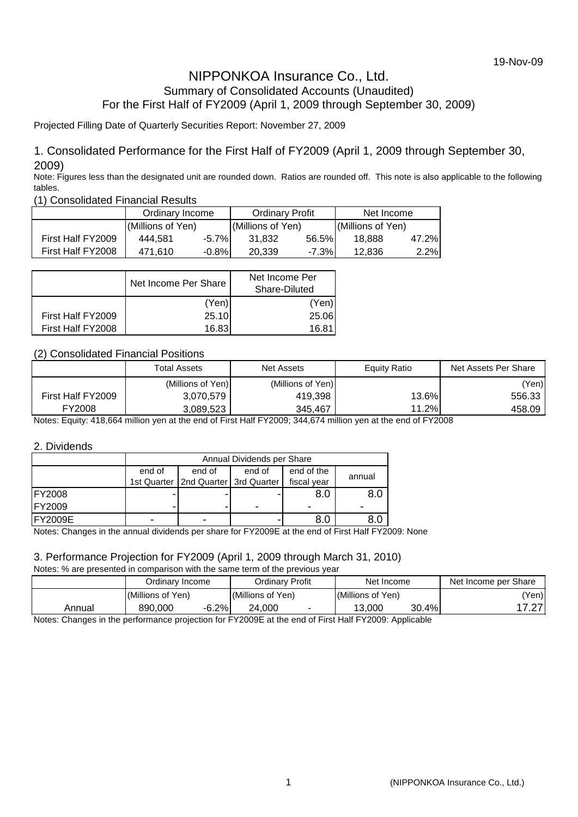# NIPPONKOA Insurance Co., Ltd. Summary of Consolidated Accounts (Unaudited) For the First Half of FY2009 (April 1, 2009 through September 30, 2009)

#### Projected Filling Date of Quarterly Securities Report: November 27, 2009

#### 1. Consolidated Performance for the First Half of FY2009 (April 1, 2009 through September 30, 2009)

Note: Figures less than the designated unit are rounded down. Ratios are rounded off. This note is also applicable to the following tables.

(1) Consolidated Financial Results

|                   | Ordinary Income   |          | <b>Ordinary Profit</b> |         | Net Income        |         |
|-------------------|-------------------|----------|------------------------|---------|-------------------|---------|
|                   | (Millions of Yen) |          | (Millions of Yen)      |         | (Millions of Yen) |         |
| First Half FY2009 | 444.581           | $-5.7\%$ | 31.832                 | 56.5%   | 18.888            | 47.2%   |
| First Half FY2008 | 471.610           | $-0.8\%$ | 20,339                 | $-7.3%$ | 12.836            | $2.2\%$ |

|                   | Net Income Per Share | Net Income Per<br>Share-Diluted |
|-------------------|----------------------|---------------------------------|
|                   | (Yen)                | (Yen)                           |
| First Half FY2009 | 25.10                | 25.06                           |
| First Half FY2008 | 16.83                | 16.81                           |

#### (2) Consolidated Financial Positions

|                   | <b>Total Assets</b> | <b>Net Assets</b> | Equity Ratio | Net Assets Per Share |
|-------------------|---------------------|-------------------|--------------|----------------------|
|                   | (Millions of Yen)   | (Millions of Yen) |              | (Yen)                |
| First Half FY2009 | 3,070,579           | 419,398           | 13.6%        | 556.33               |
| FY2008            | 3,089,523           | 345.467           | 11.2%        | 458.09               |

Notes: Equity: 418,664 million yen at the end of First Half FY2009; 344,674 million yen at the end of FY2008

#### 2. Dividends

|                 | Annual Dividends per Share |                                         |            |             |  |  |  |  |
|-----------------|----------------------------|-----------------------------------------|------------|-------------|--|--|--|--|
|                 | end of                     | end of                                  | end of the | annual      |  |  |  |  |
|                 |                            | 1st Quarter   2nd Quarter   3rd Quarter |            | fiscal year |  |  |  |  |
| <b>FY2008</b>   |                            |                                         |            | 8.C         |  |  |  |  |
| <b>FY2009</b>   |                            |                                         | -          |             |  |  |  |  |
| <b>IFY2009E</b> | -                          | ۰                                       |            | 8.0         |  |  |  |  |

Notes: Changes in the annual dividends per share for FY2009E at the end of First Half FY2009: None

# 3. Performance Projection for FY2009 (April 1, 2009 through March 31, 2010)

Notes: % are presented in comparison with the same term of the previous year

|        | Ordinarv Income    | Ordinary Profit   | Net Income        | Net Income per Share |
|--------|--------------------|-------------------|-------------------|----------------------|
|        | (Millions of Yen)  | (Millions of Yen) | (Millions of Yen) | 'Yen)                |
| Annual | $-6.2%$<br>890.000 | 24.000            | 30.4%<br>13.000   | $\sim$<br>.          |

Notes: Changes in the performance projection for FY2009E at the end of First Half FY2009: Applicable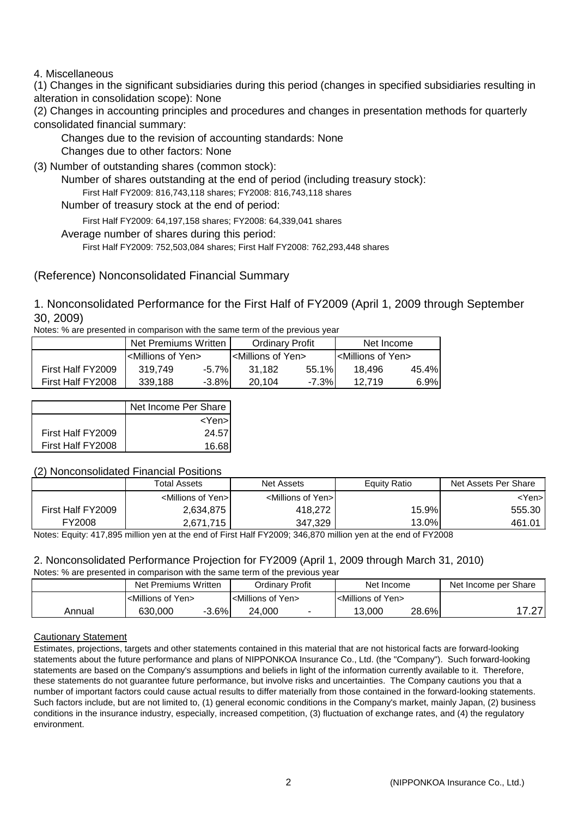#### 4. Miscellaneous

(1) Changes in the significant subsidiaries during this period (changes in specified subsidiaries resulting in alteration in consolidation scope): None

(2) Changes in accounting principles and procedures and changes in presentation methods for quarterly consolidated financial summary:

Changes due to the revision of accounting standards: None

Changes due to other factors: None

(3) Number of outstanding shares (common stock):

Number of shares outstanding at the end of period (including treasury stock):

First Half FY2009: 816,743,118 shares; FY2008: 816,743,118 shares

Number of treasury stock at the end of period:

First Half FY2009: 64,197,158 shares; FY2008: 64,339,041 shares

Average number of shares during this period:

First Half FY2009: 752,503,084 shares; First Half FY2008: 762,293,448 shares

# (Reference) Nonconsolidated Financial Summary

# 1. Nonconsolidated Performance for the First Half of FY2009 (April 1, 2009 through September 30, 2009)

Notes: % are presented in comparison with the same term of the previous year

|                   | Net Premiums Written ⊧               |          | <b>Ordinary Profit</b>             |        | Net Income                           |         |
|-------------------|--------------------------------------|----------|------------------------------------|--------|--------------------------------------|---------|
|                   | l <millions of="" yen=""></millions> |          | <millions of="" yen=""></millions> |        | I <millions of="" yen=""></millions> |         |
| First Half FY2009 | 319.749                              | $-5.7\%$ | 31.182                             | 55.1%  | 18.496                               | 45.4%I  |
| First Half FY2008 | 339.188                              | -3.8%l   | 20.104                             | -7.3%' |                                      | $6.9\%$ |

|                   | Net Income Per Share |
|-------------------|----------------------|
|                   | $<$ Yen $>$          |
| First Half FY2009 | 24.57                |
| First Half FY2008 | 16.68 <sup>'</sup>   |

#### (2) Nonconsolidated Financial Positions

|                   | <b>Total Assets</b>                 | Net Assets                          | Equity Ratio | Net Assets Per Share |
|-------------------|-------------------------------------|-------------------------------------|--------------|----------------------|
|                   | <millions of="" yen="">I</millions> | <millions of="" yen="">I</millions> |              | <yen>l</yen>         |
| First Half FY2009 | 2,634,875                           | 418,272                             | 15.9%        | 555.30               |
| FY2008            | 2,671,715                           | 347,329                             | 13.0%        | 461.01               |

Notes: Equity: 417,895 million yen at the end of First Half FY2009; 346,870 million yen at the end of FY2008

# 2. Nonconsolidated Performance Projection for FY2009 (April 1, 2009 through March 31, 2010)

Notes: % are presented in comparison with the same term of the previous year

|        | Net Premiums Written               | Ordinary Profit                    | Net Income                         | Net Income per Share |
|--------|------------------------------------|------------------------------------|------------------------------------|----------------------|
|        | <millions of="" yen=""></millions> | <millions of="" yen=""></millions> | <millions of="" yen=""></millions> |                      |
| Annual | $-3.6\%$<br>630,000                | 24.000                             | 28.6%<br>13.000                    | $\sim$               |
|        |                                    |                                    |                                    |                      |

#### Cautionary Statement

Estimates, projections, targets and other statements contained in this material that are not historical facts are forward-looking statements about the future performance and plans of NIPPONKOA Insurance Co., Ltd. (the "Company"). Such forward-looking statements are based on the Company's assumptions and beliefs in light of the information currently available to it. Therefore, these statements do not guarantee future performance, but involve risks and uncertainties. The Company cautions you that a number of important factors could cause actual results to differ materially from those contained in the forward-looking statements. Such factors include, but are not limited to, (1) general economic conditions in the Company's market, mainly Japan, (2) business conditions in the insurance industry, especially, increased competition, (3) fluctuation of exchange rates, and (4) the regulatory environment.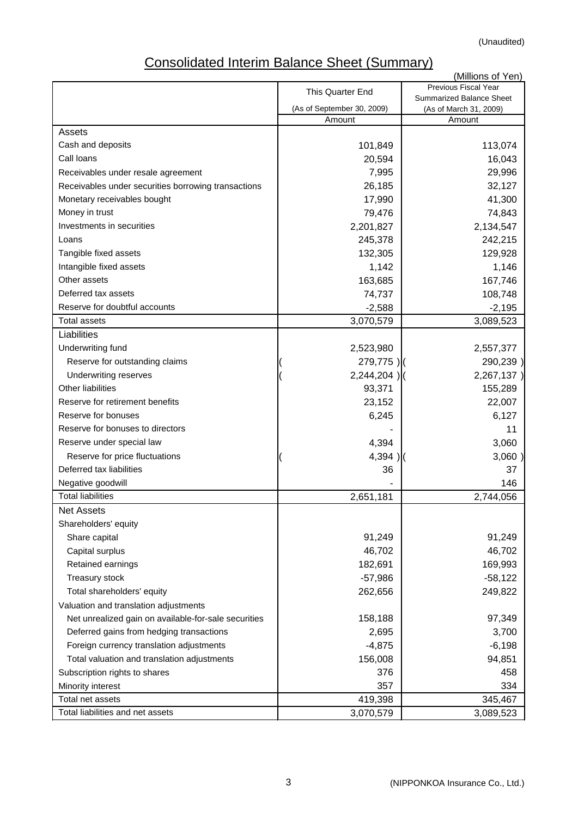# Consolidated Interim Balance Sheet (Summary)

|                                                      |                            | (Millions of Yen)                                  |
|------------------------------------------------------|----------------------------|----------------------------------------------------|
|                                                      | This Quarter End           | Previous Fiscal Year                               |
|                                                      | (As of September 30, 2009) | Summarized Balance Sheet<br>(As of March 31, 2009) |
|                                                      | Amount                     | Amount                                             |
| Assets                                               |                            |                                                    |
| Cash and deposits                                    | 101,849                    | 113,074                                            |
| Call Ioans                                           | 20,594                     | 16,043                                             |
| Receivables under resale agreement                   | 7,995                      | 29,996                                             |
| Receivables under securities borrowing transactions  | 26,185                     | 32,127                                             |
| Monetary receivables bought                          | 17,990                     | 41,300                                             |
| Money in trust                                       | 79,476                     | 74,843                                             |
| Investments in securities                            | 2,201,827                  | 2,134,547                                          |
| Loans                                                | 245,378                    | 242,215                                            |
| Tangible fixed assets                                | 132,305                    | 129,928                                            |
| Intangible fixed assets                              | 1,142                      | 1,146                                              |
| Other assets                                         | 163,685                    | 167,746                                            |
| Deferred tax assets                                  | 74,737                     | 108,748                                            |
| Reserve for doubtful accounts                        | $-2,588$                   | $-2,195$                                           |
| <b>Total assets</b>                                  | 3,070,579                  | 3,089,523                                          |
| Liabilities                                          |                            |                                                    |
| Underwriting fund                                    | 2,523,980                  | 2,557,377                                          |
| Reserve for outstanding claims                       | 279,775)                   | 290,239)                                           |
| Underwriting reserves                                | $2,244,204$ )              | 2,267,137)                                         |
| <b>Other liabilities</b>                             | 93,371                     | 155,289                                            |
| Reserve for retirement benefits                      | 23,152                     | 22,007                                             |
| Reserve for bonuses                                  | 6,245                      | 6,127                                              |
| Reserve for bonuses to directors                     |                            | 11                                                 |
| Reserve under special law                            | 4,394                      | 3,060                                              |
| Reserve for price fluctuations                       | $4,394$ )                  | 3,060)                                             |
| Deferred tax liabilities                             | 36                         | 37                                                 |
| Negative goodwill                                    |                            | 146                                                |
| <b>Total liabilities</b>                             | 2,651,181                  | 2,744,056                                          |
| <b>Net Assets</b>                                    |                            |                                                    |
| Shareholders' equity                                 |                            |                                                    |
| Share capital                                        | 91,249                     | 91,249                                             |
| Capital surplus                                      | 46,702                     | 46,702                                             |
| Retained earnings                                    | 182,691                    | 169,993                                            |
| Treasury stock                                       | $-57,986$                  | $-58,122$                                          |
| Total shareholders' equity                           | 262,656                    | 249,822                                            |
| Valuation and translation adjustments                |                            |                                                    |
| Net unrealized gain on available-for-sale securities | 158,188                    | 97,349                                             |
| Deferred gains from hedging transactions             | 2,695                      | 3,700                                              |
| Foreign currency translation adjustments             | $-4,875$                   | $-6,198$                                           |
| Total valuation and translation adjustments          | 156,008                    | 94,851                                             |
| Subscription rights to shares                        | 376                        | 458                                                |
| Minority interest                                    | 357                        | 334                                                |
| Total net assets                                     | 419,398                    | 345,467                                            |
| Total liabilities and net assets                     | 3,070,579                  | 3,089,523                                          |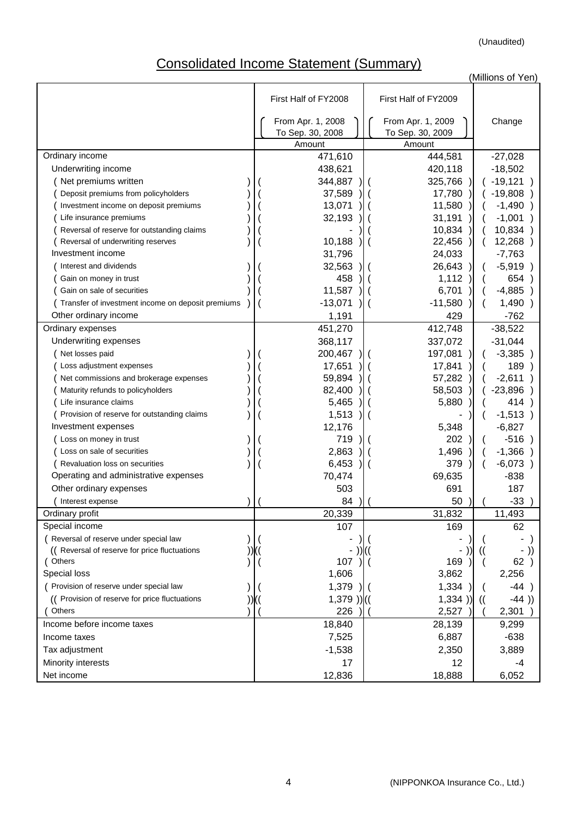# Consolidated Income Statement (Summary)

(Millions of Yen)

|                                                   | First Half of FY2008 | First Half of FY2009 |                    |
|---------------------------------------------------|----------------------|----------------------|--------------------|
|                                                   | From Apr. 1, 2008    | From Apr. 1, 2009    | Change             |
|                                                   | To Sep. 30, 2008     | To Sep. 30, 2009     |                    |
|                                                   | Amount               | Amount               |                    |
| Ordinary income                                   | 471,610              | 444,581              | $-27,028$          |
| Underwriting income                               | 438,621              | 420,118              | $-18,502$          |
| Net premiums written                              | 344,887              | 325,766              | $(-19, 121)$       |
| Deposit premiums from policyholders               | 37,589               | 17,780               | $-19,808$ )        |
| Investment income on deposit premiums             | 13,071               | 11,580               | $-1,490)$          |
| Life insurance premiums                           | 32,193               | 31,191               | $-1,001$           |
| Reversal of reserve for outstanding claims        |                      | 10,834               | 10,834             |
| Reversal of underwriting reserves                 | 10,188               | 22,456               | 12,268)            |
| Investment income                                 | 31,796               | 24,033               | $-7,763$           |
| Interest and dividends                            | 32,563               | 26,643               | $-5,919)$          |
| Gain on money in trust                            | 458                  | 1,112                | 654)               |
| Gain on sale of securities                        | 11,587               | 6,701                | $-4,885$ )         |
| Transfer of investment income on deposit premiums | $-13,071$            | $-11,580$            | 1,490)             |
| Other ordinary income                             | 1,191                | 429                  | $-762$             |
| Ordinary expenses                                 | 451,270              | 412,748              | $-38,522$          |
| Underwriting expenses                             | 368,117              | 337,072              | $-31,044$          |
| Net losses paid                                   | 200,467              | 197,081              | $-3,385)$          |
| Loss adjustment expenses                          | 17,651               | 17,841               | 189                |
| Net commissions and brokerage expenses            | 59,894               | 57,282               | $-2,611$           |
| Maturity refunds to policyholders                 | 82,400               | 58,503               | $-23,896$ )        |
| Life insurance claims                             | 5,465                | 5,880                | 414)               |
| Provision of reserve for outstanding claims       | 1,513                |                      | $-1,513)$          |
| Investment expenses                               | 12,176               | 5,348                | $-6,827$           |
| Loss on money in trust                            | 719                  | 202                  | $-516$ )           |
| Loss on sale of securities                        | 2,863                | 1,496                | $-1,366$ )         |
| Revaluation loss on securities                    | 6,453                | 379                  | $-6,073)$          |
| Operating and administrative expenses             | 70,474               | 69,635               | $-838$             |
| Other ordinary expenses                           | 503                  | 691                  | 187                |
| Interest expense                                  | 84                   | 50                   | $-33$              |
| Ordinary profit                                   | 20,339               | 31,832               | 11,493             |
| Special income                                    | 107                  | 169                  | 62                 |
| Reversal of reserve under special law             |                      |                      |                    |
| (( Reversal of reserve for price fluctuations     |                      |                      |                    |
| (Others                                           | 107                  | 169                  | 62)                |
| Special loss                                      | 1,606                | 3,862                | 2,256              |
| Provision of reserve under special law            | 1,379                | 1,334                | $-44)$             |
| (( Provision of reserve for price fluctuations    | $1,379$ )) $($       | 1,334)               | $-44)$<br>$\left($ |
| Others                                            | 226                  | 2,527                | 2,301              |
| Income before income taxes                        | 18,840               | 28,139               | 9,299              |
| Income taxes                                      | 7,525                | 6,887                | $-638$             |
| Tax adjustment                                    | $-1,538$             | 2,350                | 3,889              |
| Minority interests                                | 17                   | 12                   | -4                 |
| Net income                                        | 12,836               | 18,888               | 6,052              |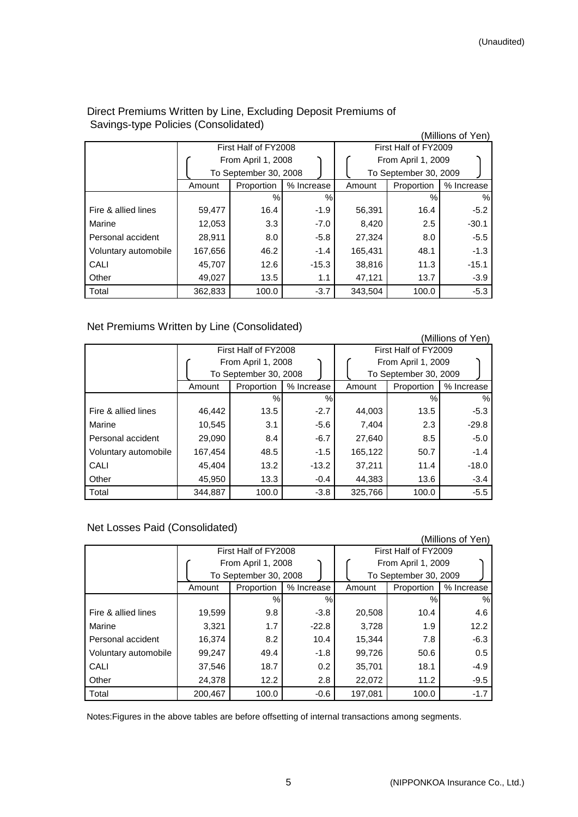(Millions of Yen)

|                      |         | First Half of FY2008  |            | First Half of FY2009 |                       |            |  |  |
|----------------------|---------|-----------------------|------------|----------------------|-----------------------|------------|--|--|
|                      |         | From April 1, 2008    |            |                      | From April 1, 2009    |            |  |  |
|                      |         | To September 30, 2008 |            |                      | To September 30, 2009 |            |  |  |
|                      | Amount  | Proportion            | % Increase | Amount               | Proportion            | % Increase |  |  |
|                      |         | %                     | %          |                      | %                     | %          |  |  |
| Fire & allied lines  | 59,477  | 16.4                  | $-1.9$     | 56,391               | 16.4                  | $-5.2$     |  |  |
| Marine               | 12,053  | 3.3 <sub>2</sub>      | $-7.0$     | 8,420                | 2.5                   | $-30.1$    |  |  |
| Personal accident    | 28,911  | 8.0                   | $-5.8$     | 27,324               | 8.0                   | $-5.5$     |  |  |
| Voluntary automobile | 167,656 | 46.2                  | $-1.4$     | 165,431              | 48.1                  | $-1.3$     |  |  |
| CALI                 | 45,707  | 12.6                  | $-15.3$    | 38,816               | 11.3                  | $-15.1$    |  |  |
| Other                | 49,027  | 13.5                  | 1.1        | 47,121               | 13.7                  | $-3.9$     |  |  |
| Total                | 362,833 | 100.0                 | $-3.7$     | 343,504              | 100.0                 | $-5.3$     |  |  |

### Direct Premiums Written by Line, Excluding Deposit Premiums of Savings-type Policies (Consolidated)

### Net Premiums Written by Line (Consolidated)

| (Millions of Yen)    |                          |                       |            |         |                       |            |  |  |
|----------------------|--------------------------|-----------------------|------------|---------|-----------------------|------------|--|--|
|                      |                          | First Half of FY2008  |            |         | First Half of FY2009  |            |  |  |
|                      |                          | From April 1, 2008    |            |         | From April 1, 2009    |            |  |  |
|                      |                          | To September 30, 2008 |            |         | To September 30, 2009 |            |  |  |
|                      | Amount                   | Proportion            | % Increase | Amount  | Proportion            | % Increase |  |  |
|                      |                          | %                     | %          |         | %                     | $\%$       |  |  |
| Fire & allied lines  | 46,442                   | 13.5                  | $-2.7$     | 44,003  | 13.5                  | $-5.3$     |  |  |
| Marine               | 10,545                   | 3.1                   | $-5.6$     | 7,404   | 2.3                   | $-29.8$    |  |  |
| Personal accident    | 29,090                   | 8.4                   | $-6.7$     | 27,640  | 8.5                   | $-5.0$     |  |  |
| Voluntary automobile | 167,454                  | 48.5                  | $-1.5$     | 165,122 | 50.7                  | $-1.4$     |  |  |
| CALI                 | 45,404                   | 13.2                  | $-13.2$    | 37,211  | 11.4                  | $-18.0$    |  |  |
| Other                | 45,950<br>13.3<br>$-0.4$ |                       |            | 44,383  | 13.6                  | $-3.4$     |  |  |
| Total                | 344,887                  | 100.0                 | $-3.8$     | 325,766 | 100.0                 | $-5.5$     |  |  |

# Net Losses Paid (Consolidated)

|                      |         |                       |            |         |                       | (Millions of Yen) |
|----------------------|---------|-----------------------|------------|---------|-----------------------|-------------------|
|                      |         | First Half of FY2008  |            |         | First Half of FY2009  |                   |
|                      |         | From April 1, 2008    |            |         | From April 1, 2009    |                   |
|                      |         | To September 30, 2008 |            |         | To September 30, 2009 |                   |
|                      | Amount  | Proportion            | % Increase | Amount  | Proportion            | % Increase        |
|                      |         | $\%$                  | %          |         | %                     | $\%$              |
| Fire & allied lines  | 19,599  | 9.8                   | $-3.8$     | 20,508  | 10.4                  | 4.6               |
| Marine               | 3,321   | 1.7                   | $-22.8$    | 3,728   | 1.9                   | 12.2              |
| Personal accident    | 16,374  | 8.2                   | 10.4       | 15,344  | 7.8                   | $-6.3$            |
| Voluntary automobile | 99,247  | 49.4                  | $-1.8$     | 99,726  | 50.6                  | 0.5               |
| CALI                 | 37,546  | 18.7                  | 0.2        | 35,701  | 18.1                  | $-4.9$            |
| Other                | 24,378  | 12.2                  | 2.8        | 22,072  | 11.2                  | $-9.5$            |
| Total                | 200,467 | 100.0                 | $-0.6$     | 197,081 | 100.0                 | $-1.7$            |

Notes:Figures in the above tables are before offsetting of internal transactions among segments.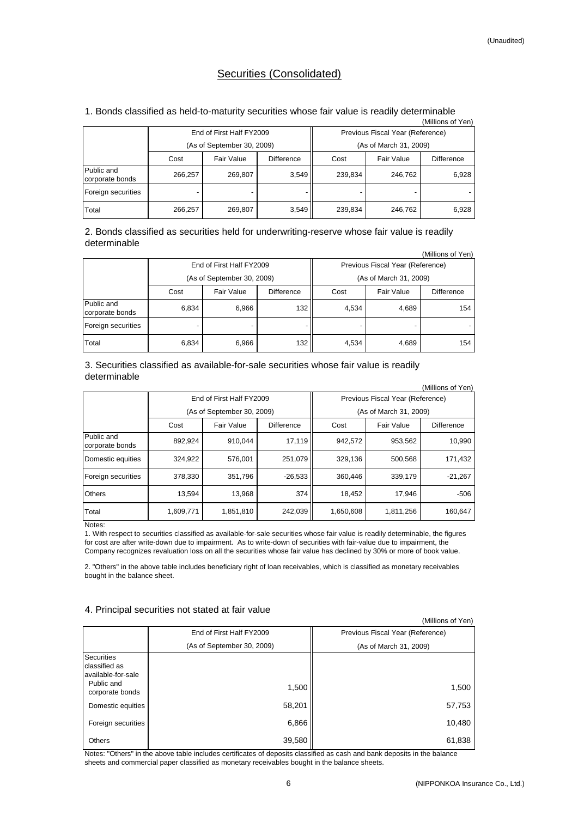#### Securities (Consolidated)

#### 1. Bonds classified as held-to-maturity securities whose fair value is readily determinable

| (Millions of Yen)             |                                         |                            |       |                                  |            |            |  |  |  |  |
|-------------------------------|-----------------------------------------|----------------------------|-------|----------------------------------|------------|------------|--|--|--|--|
|                               |                                         | End of First Half FY2009   |       | Previous Fiscal Year (Reference) |            |            |  |  |  |  |
|                               |                                         | (As of September 30, 2009) |       | (As of March 31, 2009)           |            |            |  |  |  |  |
|                               | Fair Value<br><b>Difference</b><br>Cost |                            |       | Cost                             | Fair Value | Difference |  |  |  |  |
| Public and<br>corporate bonds | 266,257                                 | 3,549<br>269,807           |       | 239,834                          | 246.762    | 6,928      |  |  |  |  |
| Foreign securities            |                                         |                            |       |                                  |            |            |  |  |  |  |
| Total                         | 266,257                                 | 269,807                    | 3,549 | 239,834                          | 246,762    | 6,928      |  |  |  |  |

(Millions of Yen) 2. Bonds classified as securities held for underwriting-reserve whose fair value is readily determinable

| (IVIIIIIONS OF TEN)           |       |                                 |     |                                  |            |            |  |  |  |
|-------------------------------|-------|---------------------------------|-----|----------------------------------|------------|------------|--|--|--|
|                               |       | End of First Half FY2009        |     | Previous Fiscal Year (Reference) |            |            |  |  |  |
|                               |       | (As of September 30, 2009)      |     | (As of March 31, 2009)           |            |            |  |  |  |
|                               | Cost  | <b>Difference</b><br>Fair Value |     |                                  | Fair Value | Difference |  |  |  |
| Public and<br>corporate bonds | 6.834 | 6,966                           | 132 | 4,534                            | 4,689      | 154        |  |  |  |
| Foreign securities            |       |                                 |     |                                  |            |            |  |  |  |
| Total                         | 6,834 | 6,966                           | 132 | 4,534                            | 4,689      | 154        |  |  |  |

3. Securities classified as available-for-sale securities whose fair value is readily determinable

| (Millions of Yen)             |           |                            |                   |           |                                  |                   |  |  |  |  |
|-------------------------------|-----------|----------------------------|-------------------|-----------|----------------------------------|-------------------|--|--|--|--|
|                               |           | End of First Half FY2009   |                   |           | Previous Fiscal Year (Reference) |                   |  |  |  |  |
|                               |           | (As of September 30, 2009) |                   |           | (As of March 31, 2009)           |                   |  |  |  |  |
|                               | Cost      | Fair Value                 | <b>Difference</b> | Cost      | Fair Value                       | <b>Difference</b> |  |  |  |  |
| Public and<br>corporate bonds | 892,924   | 910.044                    | 17,119            | 942,572   | 953,562                          | 10,990            |  |  |  |  |
| Domestic equities             | 324.922   | 576.001                    | 251.079           | 329.136   | 500.568                          | 171.432           |  |  |  |  |
| Foreign securities            | 378.330   | 351.796                    | $-26.533$         | 360.446   | 339.179                          | $-21.267$         |  |  |  |  |
| <b>Others</b>                 | 13,594    | 13,968                     | 374               | 18,452    | 17,946                           | $-506$            |  |  |  |  |
| Total                         | 1,609,771 | 1,851,810                  | 242,039           | 1,650,608 | 1,811,256                        | 160,647           |  |  |  |  |

Notes:

1. With respect to securities classified as available-for-sale securities whose fair value is readily determinable, the figures for cost are after write-down due to impairment. As to write-down of securities with fair-value due to impairment, the Company recognizes revaluation loss on all the securities whose fair value has declined by 30% or more of book value.

2. "Others" in the above table includes beneficiary right of loan receivables, which is classified as monetary receivables bought in the balance sheet.

#### 4. Principal securities not stated at fair value

|                                                           |                            | (Millions of Yen)                |
|-----------------------------------------------------------|----------------------------|----------------------------------|
|                                                           | End of First Half FY2009   | Previous Fiscal Year (Reference) |
|                                                           | (As of September 30, 2009) | (As of March 31, 2009)           |
| <b>Securities</b><br>classified as<br>lavailable-for-sale |                            |                                  |
| Public and<br>corporate bonds                             | 1,500                      | 1,500                            |
| Domestic equities                                         | 58,201                     | 57,753                           |
| Foreign securities                                        | 6,866                      | 10,480                           |
| <b>Others</b>                                             | 39,580                     | 61,838                           |

Notes: "Others" in the above table includes certificates of deposits classified as cash and bank deposits in the balance sheets and commercial paper classified as monetary receivables bought in the balance sheets.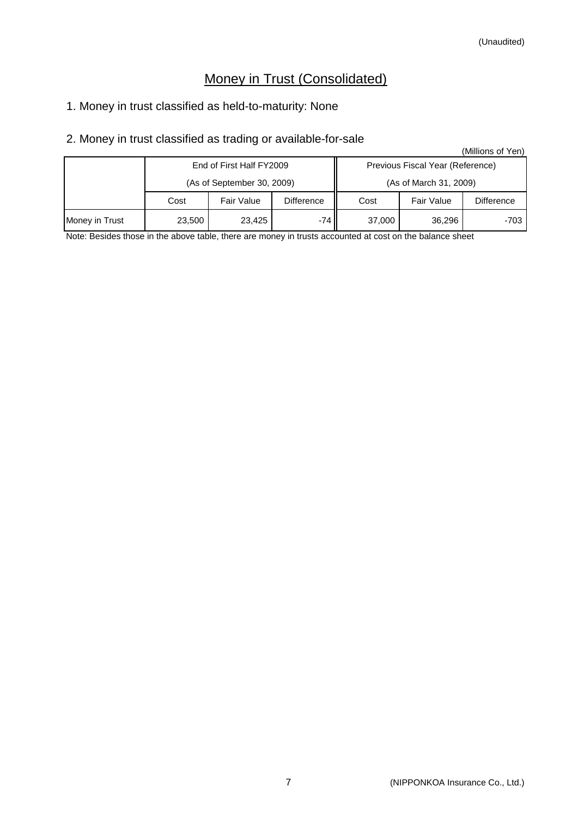# Money in Trust (Consolidated)

# 1. Money in trust classified as held-to-maturity: None

# 2. Money in trust classified as trading or available-for-sale

|                |                            |                                 |        |                                  |                   | (Millions of Yen) |
|----------------|----------------------------|---------------------------------|--------|----------------------------------|-------------------|-------------------|
|                |                            | End of First Half FY2009        |        | Previous Fiscal Year (Reference) |                   |                   |
|                | (As of September 30, 2009) |                                 |        | (As of March 31, 2009)           |                   |                   |
|                | Cost                       | Fair Value<br><b>Difference</b> |        |                                  | <b>Fair Value</b> | <b>Difference</b> |
| Money in Trust | 23,500                     | 23.425                          | -74 II | 37,000                           | 36,296            | -703              |

Note: Besides those in the above table, there are money in trusts accounted at cost on the balance sheet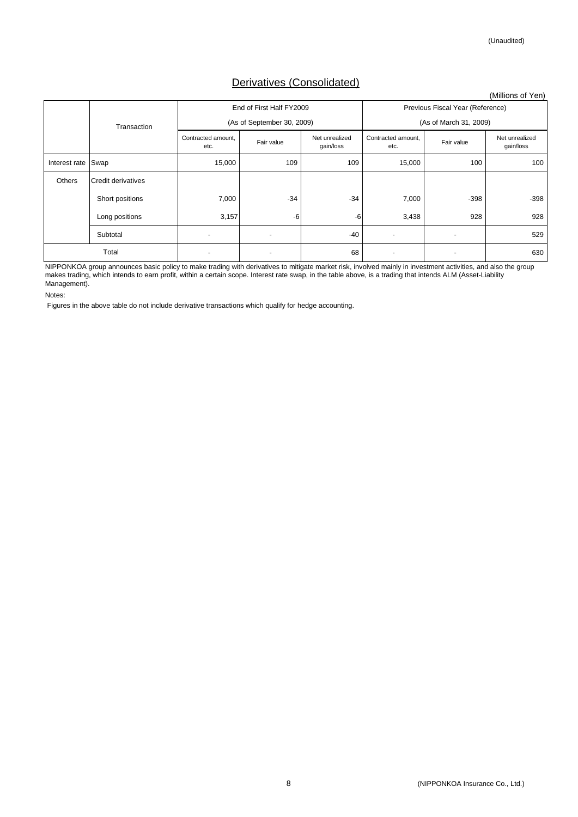# Derivatives (Consolidated)

|               |                    |                            |                            |                             |                            |                                  | (Millions of Yen)           |
|---------------|--------------------|----------------------------|----------------------------|-----------------------------|----------------------------|----------------------------------|-----------------------------|
|               |                    |                            | End of First Half FY2009   |                             |                            | Previous Fiscal Year (Reference) |                             |
|               | Transaction        |                            | (As of September 30, 2009) |                             |                            | (As of March 31, 2009)           |                             |
|               |                    | Contracted amount,<br>etc. | Fair value                 | Net unrealized<br>gain/loss | Contracted amount,<br>etc. | Fair value                       | Net unrealized<br>gain/loss |
| Interest rate | Swap               | 15,000                     | 109                        | 109                         | 15,000                     | 100                              | 100                         |
| <b>Others</b> | Credit derivatives |                            |                            |                             |                            |                                  |                             |
|               | Short positions    | 7,000                      | $-34$                      | $-34$                       | 7,000                      | $-398$                           | $-398$                      |
|               | Long positions     | 3,157                      | -6                         | $-6$                        | 3,438                      | 928                              | 928                         |
|               | Subtotal           | $\overline{\phantom{a}}$   |                            | -40                         |                            |                                  | 529                         |
| Total         |                    | $\overline{\phantom{0}}$   |                            | 68                          |                            |                                  | 630                         |

NIPPONKOA group announces basic policy to make trading with derivatives to mitigate market risk, involved mainly in investment activities, and also the group makes trading, which intends to earn profit, within a certain scope. Interest rate swap, in the table above, is a trading that intends ALM (Asset-Liability Management).

Notes:

Figures in the above table do not include derivative transactions which qualify for hedge accounting.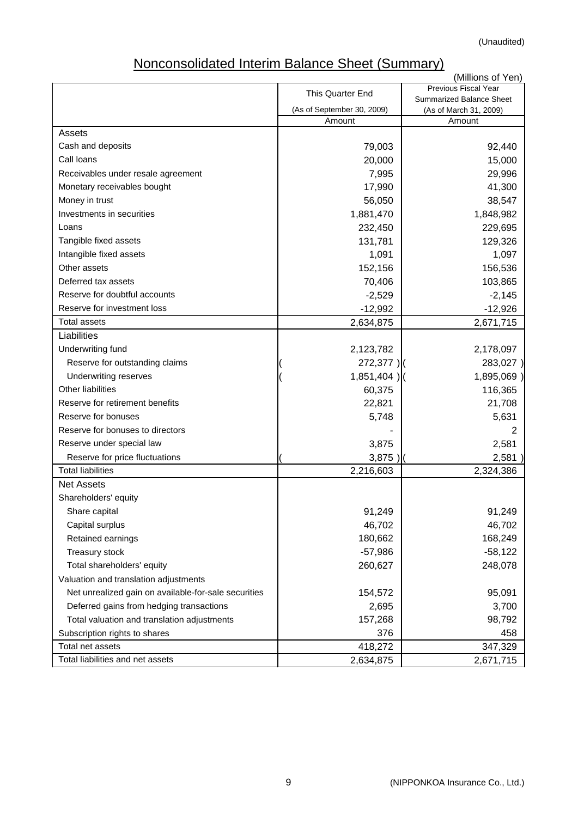# Nonconsolidated Interim Balance Sheet (Summary)

|                                                      |                            | (Millions of Yen)                                  |
|------------------------------------------------------|----------------------------|----------------------------------------------------|
|                                                      | <b>This Quarter End</b>    | <b>Previous Fiscal Year</b>                        |
|                                                      | (As of September 30, 2009) | Summarized Balance Sheet<br>(As of March 31, 2009) |
|                                                      | Amount                     | Amount                                             |
| Assets                                               |                            |                                                    |
| Cash and deposits                                    | 79,003                     | 92,440                                             |
| Call loans                                           | 20,000                     | 15,000                                             |
| Receivables under resale agreement                   | 7,995                      | 29,996                                             |
| Monetary receivables bought                          | 17,990                     | 41,300                                             |
| Money in trust                                       | 56,050                     | 38,547                                             |
| Investments in securities                            | 1,881,470                  | 1,848,982                                          |
| Loans                                                | 232,450                    | 229,695                                            |
| Tangible fixed assets                                | 131,781                    | 129,326                                            |
| Intangible fixed assets                              | 1,091                      | 1,097                                              |
| Other assets                                         | 152,156                    | 156,536                                            |
| Deferred tax assets                                  | 70,406                     | 103,865                                            |
| Reserve for doubtful accounts                        | $-2,529$                   | $-2,145$                                           |
| Reserve for investment loss                          | $-12,992$                  | $-12,926$                                          |
| <b>Total assets</b>                                  | 2,634,875                  | 2,671,715                                          |
| Liabilities                                          |                            |                                                    |
| Underwriting fund                                    | 2,123,782                  | 2,178,097                                          |
| Reserve for outstanding claims                       | $272,377$ )                | 283,027)                                           |
| Underwriting reserves                                | $1,851,404$ )              | 1,895,069)                                         |
| <b>Other liabilities</b>                             | 60,375                     | 116,365                                            |
| Reserve for retirement benefits                      | 22,821                     | 21,708                                             |
| Reserve for bonuses                                  | 5,748                      | 5,631                                              |
| Reserve for bonuses to directors                     |                            |                                                    |
| Reserve under special law                            | 3,875                      | 2,581                                              |
| Reserve for price fluctuations                       | 3,875                      | 2,581                                              |
| <b>Total liabilities</b>                             | 2,216,603                  | 2,324,386                                          |
| <b>Net Assets</b>                                    |                            |                                                    |
| Shareholders' equity                                 |                            |                                                    |
| Share capital                                        | 91,249                     | 91,249                                             |
| Capital surplus                                      | 46,702                     | 46,702                                             |
| Retained earnings                                    | 180,662                    | 168,249                                            |
| Treasury stock                                       | $-57,986$                  | $-58,122$                                          |
| Total shareholders' equity                           | 260,627                    | 248,078                                            |
| Valuation and translation adjustments                |                            |                                                    |
| Net unrealized gain on available-for-sale securities | 154,572                    | 95,091                                             |
| Deferred gains from hedging transactions             | 2,695                      | 3,700                                              |
| Total valuation and translation adjustments          | 157,268                    | 98,792                                             |
| Subscription rights to shares                        | 376                        | 458                                                |
| Total net assets                                     | 418,272                    | 347,329                                            |
| Total liabilities and net assets                     | 2,634,875                  | 2,671,715                                          |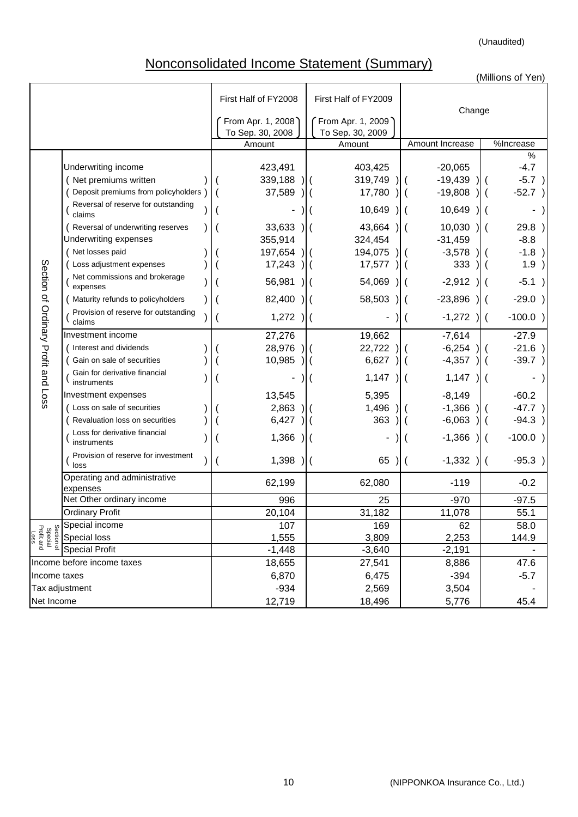# Nonconsolidated Income Statement (Summary)

|                                             |                                                                                                                                                                                                                                                                                                                                                                                                                     |                                                                                                     |                                                                                                                         |                                                                                                                                     | (Millions of Yen)                                                                                                |
|---------------------------------------------|---------------------------------------------------------------------------------------------------------------------------------------------------------------------------------------------------------------------------------------------------------------------------------------------------------------------------------------------------------------------------------------------------------------------|-----------------------------------------------------------------------------------------------------|-------------------------------------------------------------------------------------------------------------------------|-------------------------------------------------------------------------------------------------------------------------------------|------------------------------------------------------------------------------------------------------------------|
|                                             |                                                                                                                                                                                                                                                                                                                                                                                                                     | First Half of FY2008                                                                                | First Half of FY2009                                                                                                    | Change                                                                                                                              |                                                                                                                  |
|                                             |                                                                                                                                                                                                                                                                                                                                                                                                                     | From Apr. 1, 2008<br>To Sep. 30, 2008                                                               | From Apr. 1, 2009<br>To Sep. 30, 2009                                                                                   |                                                                                                                                     |                                                                                                                  |
|                                             |                                                                                                                                                                                                                                                                                                                                                                                                                     | Amount                                                                                              | Amount                                                                                                                  | Amount Increase                                                                                                                     | $\overline{\%}$ Increase                                                                                         |
|                                             | Underwriting income<br>(Net premiums written<br>Deposit premiums from policyholders<br>Reversal of reserve for outstanding<br>claims<br>Reversal of underwriting reserves<br>Underwriting expenses<br>(Net losses paid                                                                                                                                                                                              | 423,491<br>339,188<br>37,589<br>33,633<br>355,914                                                   | 403,425<br>319,749<br>17,780<br>10,649<br>43,664<br>324,454                                                             | $-20,065$<br>$-19,439$<br>$-19,808$<br>10,649<br>10,030<br>$-31,459$                                                                | $\%$<br>$-4.7$<br>$-5.7$<br>$-52.7$<br>29.8<br>$-8.8$                                                            |
|                                             | ( Loss adjustment expenses                                                                                                                                                                                                                                                                                                                                                                                          | 197,654<br>17,243                                                                                   | 194,075<br>17,577                                                                                                       | $-3,578$<br>333                                                                                                                     | $-1.8$<br>1.9                                                                                                    |
| Section of Ordinary Profit and Loss         | Net commissions and brokerage<br>expenses                                                                                                                                                                                                                                                                                                                                                                           | 56,981                                                                                              | 54,069                                                                                                                  | $-2,912$                                                                                                                            | $-5.1$                                                                                                           |
|                                             | Maturity refunds to policyholders                                                                                                                                                                                                                                                                                                                                                                                   | 82,400                                                                                              | 58,503                                                                                                                  | $-23,896$                                                                                                                           | $-29.0$                                                                                                          |
|                                             | Provision of reserve for outstanding<br>claims                                                                                                                                                                                                                                                                                                                                                                      | 1,272                                                                                               |                                                                                                                         | $-1,272$                                                                                                                            | $-100.0$ )<br>$\parallel$ (                                                                                      |
|                                             | Investment income<br>(Interest and dividends<br>Gain on sale of securities<br>Gain for derivative financial<br>instruments<br>Investment expenses<br>Loss on sale of securities<br>Revaluation loss on securities<br>Loss for derivative financial<br>instruments<br>Provision of reserve for investment<br>loss<br>Operating and administrative<br>expenses<br>Net Other ordinary income<br><b>Ordinary Profit</b> | 27,276<br>28,976<br>10,985<br>13,545<br>2,863<br>6,427<br>1,366<br>1,398<br>62,199<br>996<br>20,104 | 19,662<br>22,722<br>6,627<br>1,147<br>$\overline{\mathcal{M}}$<br>5,395<br>1,496<br>363<br>65<br>62,080<br>25<br>31,182 | $-7,614$<br>$-6,254$<br>$-4,357$<br>1,147<br>$-8,149$<br>$-1,366$<br>$-6,063$<br>$-1,366$<br>$-1,332$<br>$-119$<br>$-970$<br>11,078 | $-27.9$<br>$-21.6$<br>$-39.7$<br>$-60.2$<br>$-47.7$<br>-94.3<br>$-100.0$<br>$-95.3$<br>$-0.2$<br>$-97.5$<br>55.1 |
| Section of<br>Special<br>Profit and<br>Loss | Special income<br>Special loss                                                                                                                                                                                                                                                                                                                                                                                      | 107<br>1,555                                                                                        | 169<br>3,809                                                                                                            | 62<br>2,253                                                                                                                         | 58.0<br>144.9                                                                                                    |
|                                             | <b>Special Profit</b>                                                                                                                                                                                                                                                                                                                                                                                               | $-1,448$                                                                                            | $-3,640$                                                                                                                | $-2,191$                                                                                                                            |                                                                                                                  |
|                                             | Income before income taxes                                                                                                                                                                                                                                                                                                                                                                                          | 18,655                                                                                              | 27,541                                                                                                                  | 8,886                                                                                                                               | 47.6                                                                                                             |
| Income taxes                                |                                                                                                                                                                                                                                                                                                                                                                                                                     | 6,870                                                                                               | 6,475                                                                                                                   | $-394$                                                                                                                              | $-5.7$                                                                                                           |
|                                             | Tax adjustment                                                                                                                                                                                                                                                                                                                                                                                                      | $-934$                                                                                              | 2,569                                                                                                                   | 3,504                                                                                                                               |                                                                                                                  |
| Net Income                                  |                                                                                                                                                                                                                                                                                                                                                                                                                     | 12,719                                                                                              | 18,496                                                                                                                  | 5,776                                                                                                                               | 45.4                                                                                                             |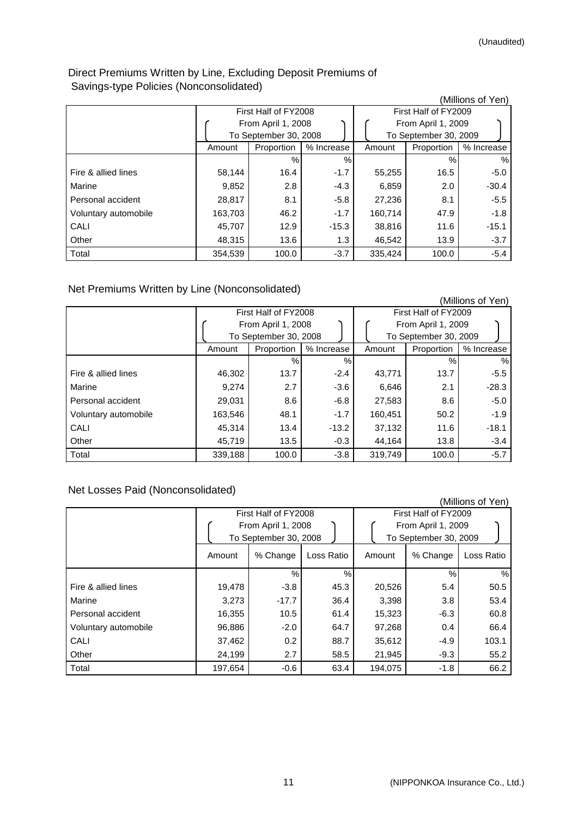# Direct Premiums Written by Line, Excluding Deposit Premiums of Savings-type Policies (Nonconsolidated)

| ັ<br>{ 1             |         |                       |            |         |                       | (Millions of Yen) |
|----------------------|---------|-----------------------|------------|---------|-----------------------|-------------------|
|                      |         | First Half of FY2008  |            |         | First Half of FY2009  |                   |
|                      |         | From April 1, 2008    |            |         | From April 1, 2009    |                   |
|                      |         | To September 30, 2008 |            |         | To September 30, 2009 |                   |
|                      | Amount  | Proportion            | % Increase | Amount  | Proportion            | % Increase        |
|                      |         | $\frac{0}{0}$         | %          |         | $\%$                  | $\%$              |
| Fire & allied lines  | 58,144  | 16.4                  | $-1.7$     | 55,255  | 16.5                  | $-5.0$            |
| Marine               | 9,852   | 2.8                   | $-4.3$     | 6,859   | 2.0                   | $-30.4$           |
| Personal accident    | 28,817  | 8.1                   | $-5.8$     | 27,236  | 8.1                   | $-5.5$            |
| Voluntary automobile | 163,703 | 46.2                  | $-1.7$     | 160,714 | 47.9                  | $-1.8$            |
| CALI                 | 45,707  | 12.9                  | $-15.3$    | 38,816  | 11.6                  | $-15.1$           |
| Other                | 48,315  | 13.6                  | 1.3        | 46.542  | 13.9                  | $-3.7$            |
| Total                | 354,539 | 100.0                 | $-3.7$     | 335.424 | 100.0                 | $-5.4$            |

Net Premiums Written by Line (Nonconsolidated)

|                      |         |                       |            |         |                       | (Millions of Yen) |
|----------------------|---------|-----------------------|------------|---------|-----------------------|-------------------|
|                      |         | First Half of FY2008  |            |         | First Half of FY2009  |                   |
|                      |         | From April 1, 2008    |            |         | From April 1, 2009    |                   |
|                      |         | To September 30, 2008 |            |         | To September 30, 2009 |                   |
|                      | Amount  | Proportion            | % Increase | Amount  | Proportion            | % Increase        |
|                      |         | %                     | $\%$       |         | %                     | $\%$              |
| Fire & allied lines  | 46,302  | 13.7                  | $-2.4$     | 43,771  | 13.7                  | $-5.5$            |
| Marine               | 9,274   | 2.7                   | $-3.6$     | 6,646   | 2.1                   | $-28.3$           |
| Personal accident    | 29,031  | 8.6                   | $-6.8$     | 27,583  | 8.6                   | $-5.0$            |
| Voluntary automobile | 163,546 | 48.1                  | $-1.7$     | 160,451 | 50.2                  | $-1.9$            |
| CALI                 | 45,314  | 13.4                  | $-13.2$    | 37,132  | 11.6                  | $-18.1$           |
| Other                | 45,719  | 13.5                  | $-0.3$     | 44,164  | 13.8                  | $-3.4$            |
| Total                | 339,188 | 100.0                 | $-3.8$     | 319,749 | 100.0                 | $-5.7$            |

# Net Losses Paid (Nonconsolidated)

|                      |                                                                     |          |               |                                                                     |          | (Millions of Yen) |
|----------------------|---------------------------------------------------------------------|----------|---------------|---------------------------------------------------------------------|----------|-------------------|
|                      | First Half of FY2008<br>From April 1, 2008<br>To September 30, 2008 |          |               | First Half of FY2009<br>From April 1, 2009<br>To September 30, 2009 |          |                   |
|                      | Amount                                                              | % Change | Loss Ratio    | Amount                                                              | % Change | Loss Ratio        |
|                      |                                                                     | $\%$     | $\frac{0}{0}$ |                                                                     | %        | %                 |
| Fire & allied lines  | 19,478                                                              | $-3.8$   | 45.3          | 20,526                                                              | 5.4      | 50.5              |
| Marine               | 3,273                                                               | $-17.7$  | 36.4          | 3,398                                                               | 3.8      | 53.4              |
| Personal accident    | 16,355                                                              | 10.5     | 61.4          | 15,323                                                              | $-6.3$   | 60.8              |
| Voluntary automobile | 96,886                                                              | $-2.0$   | 64.7          | 97,268                                                              | 0.4      | 66.4              |
| CALI                 | 37,462                                                              | 0.2      | 88.7          | 35,612                                                              | $-4.9$   | 103.1             |
| Other                | 24,199                                                              | 2.7      | 58.5          | 21,945                                                              | $-9.3$   | 55.2              |
| Total                | 197,654                                                             | $-0.6$   | 63.4          | 194.075                                                             | $-1.8$   | 66.2              |